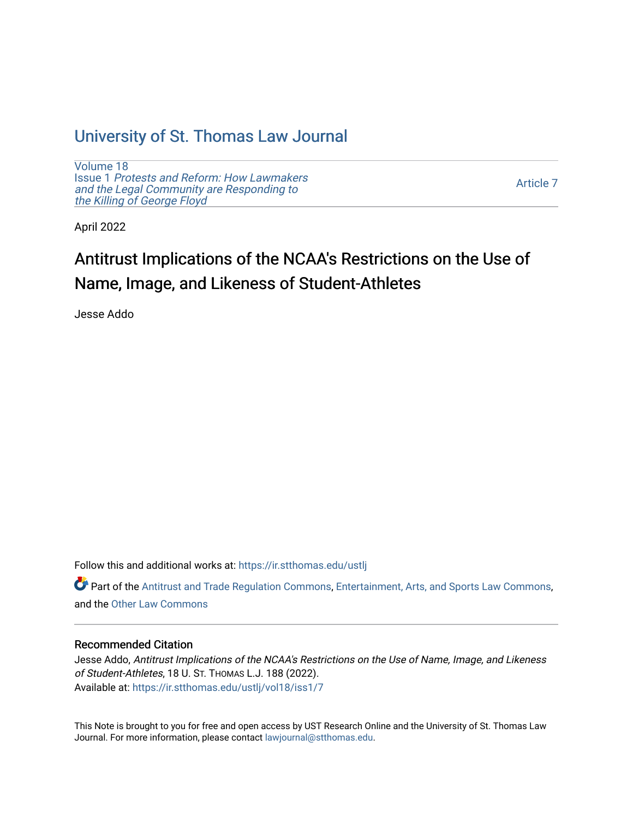## [University of St. Thomas Law Journal](https://ir.stthomas.edu/ustlj)

[Volume 18](https://ir.stthomas.edu/ustlj/vol18) Issue 1 [Protests and Reform: How Lawmakers](https://ir.stthomas.edu/ustlj/vol18/iss1)  [and the Legal Community are Responding to](https://ir.stthomas.edu/ustlj/vol18/iss1) [the Killing of George Floyd](https://ir.stthomas.edu/ustlj/vol18/iss1) 

[Article 7](https://ir.stthomas.edu/ustlj/vol18/iss1/7) 

April 2022

# Antitrust Implications of the NCAA's Restrictions on the Use of Name, Image, and Likeness of Student-Athletes

Jesse Addo

Follow this and additional works at: [https://ir.stthomas.edu/ustlj](https://ir.stthomas.edu/ustlj?utm_source=ir.stthomas.edu%2Fustlj%2Fvol18%2Fiss1%2F7&utm_medium=PDF&utm_campaign=PDFCoverPages)

Part of the [Antitrust and Trade Regulation Commons,](http://network.bepress.com/hgg/discipline/911?utm_source=ir.stthomas.edu%2Fustlj%2Fvol18%2Fiss1%2F7&utm_medium=PDF&utm_campaign=PDFCoverPages) [Entertainment, Arts, and Sports Law Commons](http://network.bepress.com/hgg/discipline/893?utm_source=ir.stthomas.edu%2Fustlj%2Fvol18%2Fiss1%2F7&utm_medium=PDF&utm_campaign=PDFCoverPages), and the [Other Law Commons](http://network.bepress.com/hgg/discipline/621?utm_source=ir.stthomas.edu%2Fustlj%2Fvol18%2Fiss1%2F7&utm_medium=PDF&utm_campaign=PDFCoverPages)

## Recommended Citation

Jesse Addo, Antitrust Implications of the NCAA's Restrictions on the Use of Name, Image, and Likeness of Student-Athletes, 18 U. ST. THOMAS L.J. 188 (2022). Available at: [https://ir.stthomas.edu/ustlj/vol18/iss1/7](https://ir.stthomas.edu/ustlj/vol18/iss1/7?utm_source=ir.stthomas.edu%2Fustlj%2Fvol18%2Fiss1%2F7&utm_medium=PDF&utm_campaign=PDFCoverPages)

This Note is brought to you for free and open access by UST Research Online and the University of St. Thomas Law Journal. For more information, please contact [lawjournal@stthomas.edu.](mailto:lawjournal@stthomas.edu)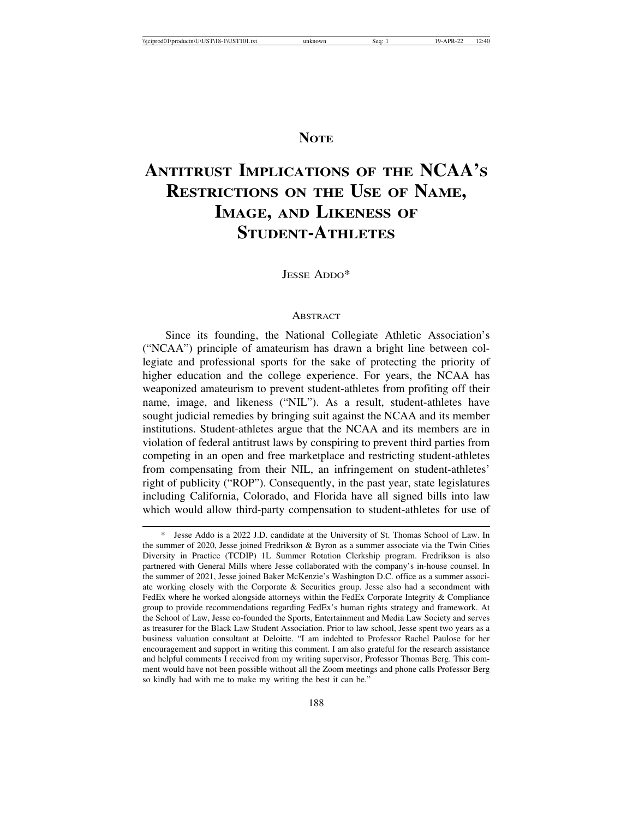## **NOTE**

## **ANTITRUST IMPLICATIONS OF THE NCAA'S RESTRICTIONS ON THE USE OF NAME, IMAGE, AND LIKENESS OF STUDENT-ATHLETES**

JESSE ADDO\*

#### **ABSTRACT**

Since its founding, the National Collegiate Athletic Association's ("NCAA") principle of amateurism has drawn a bright line between collegiate and professional sports for the sake of protecting the priority of higher education and the college experience. For years, the NCAA has weaponized amateurism to prevent student-athletes from profiting off their name, image, and likeness ("NIL"). As a result, student-athletes have sought judicial remedies by bringing suit against the NCAA and its member institutions. Student-athletes argue that the NCAA and its members are in violation of federal antitrust laws by conspiring to prevent third parties from competing in an open and free marketplace and restricting student-athletes from compensating from their NIL, an infringement on student-athletes' right of publicity ("ROP"). Consequently, in the past year, state legislatures including California, Colorado, and Florida have all signed bills into law which would allow third-party compensation to student-athletes for use of

Jesse Addo is a 2022 J.D. candidate at the University of St. Thomas School of Law. In the summer of 2020, Jesse joined Fredrikson & Byron as a summer associate via the Twin Cities Diversity in Practice (TCDIP) 1L Summer Rotation Clerkship program. Fredrikson is also partnered with General Mills where Jesse collaborated with the company's in-house counsel. In the summer of 2021, Jesse joined Baker McKenzie's Washington D.C. office as a summer associate working closely with the Corporate & Securities group. Jesse also had a secondment with FedEx where he worked alongside attorneys within the FedEx Corporate Integrity & Compliance group to provide recommendations regarding FedEx's human rights strategy and framework. At the School of Law, Jesse co-founded the Sports, Entertainment and Media Law Society and serves as treasurer for the Black Law Student Association. Prior to law school, Jesse spent two years as a business valuation consultant at Deloitte. "I am indebted to Professor Rachel Paulose for her encouragement and support in writing this comment. I am also grateful for the research assistance and helpful comments I received from my writing supervisor, Professor Thomas Berg. This comment would have not been possible without all the Zoom meetings and phone calls Professor Berg so kindly had with me to make my writing the best it can be."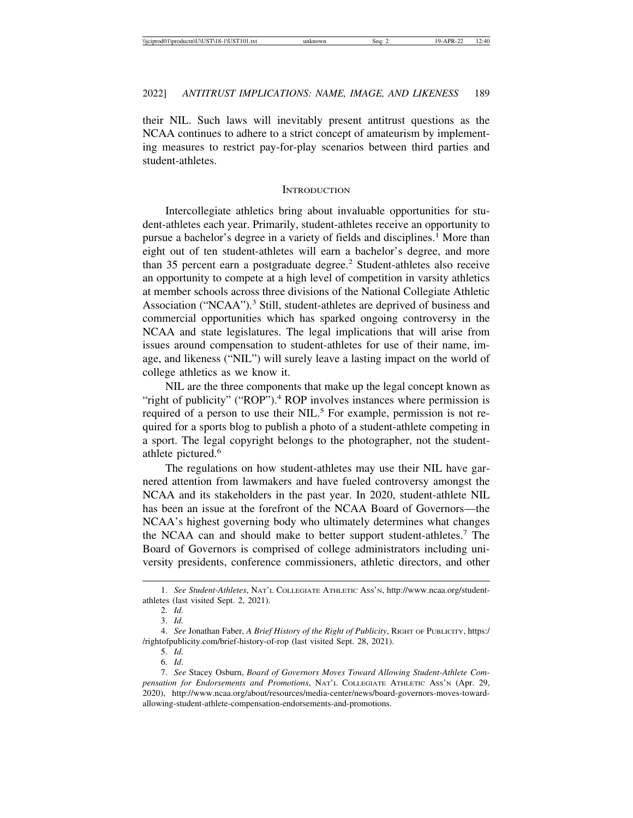their NIL. Such laws will inevitably present antitrust questions as the NCAA continues to adhere to a strict concept of amateurism by implementing measures to restrict pay-for-play scenarios between third parties and student-athletes.

#### **INTRODUCTION**

Intercollegiate athletics bring about invaluable opportunities for student-athletes each year. Primarily, student-athletes receive an opportunity to pursue a bachelor's degree in a variety of fields and disciplines.<sup>1</sup> More than eight out of ten student-athletes will earn a bachelor's degree, and more than 35 percent earn a postgraduate degree.<sup>2</sup> Student-athletes also receive an opportunity to compete at a high level of competition in varsity athletics at member schools across three divisions of the National Collegiate Athletic Association ("NCAA").<sup>3</sup> Still, student-athletes are deprived of business and commercial opportunities which has sparked ongoing controversy in the NCAA and state legislatures. The legal implications that will arise from issues around compensation to student-athletes for use of their name, image, and likeness ("NIL") will surely leave a lasting impact on the world of college athletics as we know it.

NIL are the three components that make up the legal concept known as "right of publicity" ("ROP").<sup>4</sup> ROP involves instances where permission is required of a person to use their NIL.<sup>5</sup> For example, permission is not required for a sports blog to publish a photo of a student-athlete competing in a sport. The legal copyright belongs to the photographer, not the studentathlete pictured.<sup>6</sup>

The regulations on how student-athletes may use their NIL have garnered attention from lawmakers and have fueled controversy amongst the NCAA and its stakeholders in the past year. In 2020, student-athlete NIL has been an issue at the forefront of the NCAA Board of Governors—the NCAA's highest governing body who ultimately determines what changes the NCAA can and should make to better support student-athletes.<sup>7</sup> The Board of Governors is comprised of college administrators including university presidents, conference commissioners, athletic directors, and other

<sup>1.</sup> *See Student-Athletes*, NAT'L COLLEGIATE ATHLETIC ASS'N, http://www.ncaa.org/studentathletes (last visited Sept. 2, 2021).

<sup>2.</sup> *Id.*

<sup>3.</sup> *Id.*

<sup>4.</sup> *See* Jonathan Faber, *A Brief History of the Right of Publicity*, RIGHT OF PUBLICITY, https:/ /rightofpublicity.com/brief-history-of-rop (last visited Sept. 28, 2021).

<sup>5.</sup> *Id*.

<sup>6.</sup> *Id*.

<sup>7.</sup> *See* Stacey Osburn, *Board of Governors Moves Toward Allowing Student-Athlete Compensation for Endorsements and Promotions*, NAT'L COLLEGIATE ATHLETIC ASS'N (Apr. 29, 2020), http://www.ncaa.org/about/resources/media-center/news/board-governors-moves-towardallowing-student-athlete-compensation-endorsements-and-promotions.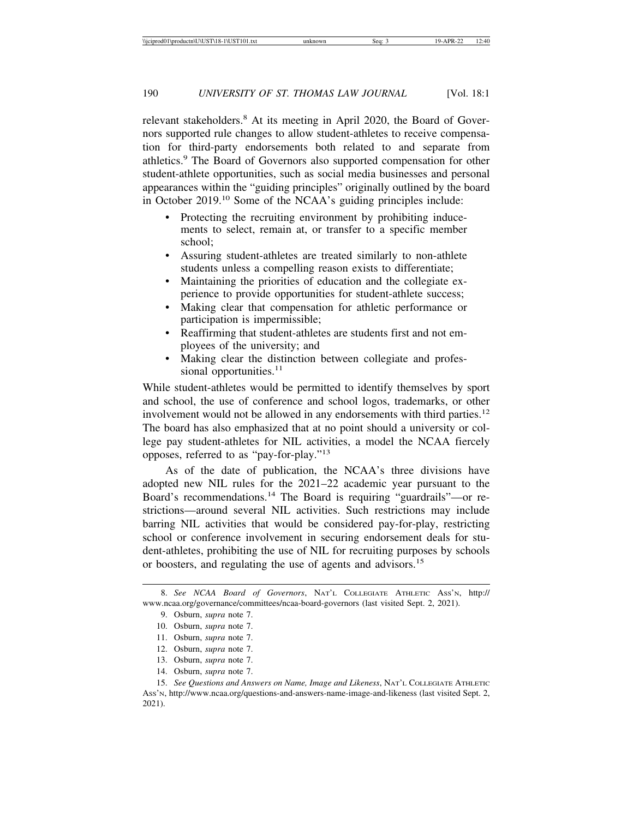relevant stakeholders.<sup>8</sup> At its meeting in April 2020, the Board of Governors supported rule changes to allow student-athletes to receive compensation for third-party endorsements both related to and separate from athletics.<sup>9</sup> The Board of Governors also supported compensation for other student-athlete opportunities, such as social media businesses and personal appearances within the "guiding principles" originally outlined by the board in October 2019.10 Some of the NCAA's guiding principles include:

- Protecting the recruiting environment by prohibiting inducements to select, remain at, or transfer to a specific member school;
- Assuring student-athletes are treated similarly to non-athlete students unless a compelling reason exists to differentiate;
- Maintaining the priorities of education and the collegiate experience to provide opportunities for student-athlete success;
- Making clear that compensation for athletic performance or participation is impermissible;
- Reaffirming that student-athletes are students first and not employees of the university; and
- Making clear the distinction between collegiate and professional opportunities. $11$

While student-athletes would be permitted to identify themselves by sport and school, the use of conference and school logos, trademarks, or other involvement would not be allowed in any endorsements with third parties.<sup>12</sup> The board has also emphasized that at no point should a university or college pay student-athletes for NIL activities, a model the NCAA fiercely opposes, referred to as "pay-for-play."<sup>13</sup>

As of the date of publication, the NCAA's three divisions have adopted new NIL rules for the 2021–22 academic year pursuant to the Board's recommendations.14 The Board is requiring "guardrails"—or restrictions—around several NIL activities. Such restrictions may include barring NIL activities that would be considered pay-for-play, restricting school or conference involvement in securing endorsement deals for student-athletes, prohibiting the use of NIL for recruiting purposes by schools or boosters, and regulating the use of agents and advisors.<sup>15</sup>

- 11. Osburn, *supra* note 7.
- 12. Osburn, *supra* note 7.
- 13. Osburn, *supra* note 7.
- 14. Osburn, *supra* note 7.

<sup>8.</sup> *See NCAA Board of Governors*, NAT'L COLLEGIATE ATHLETIC ASS'N, http:// www.ncaa.org/governance/committees/ncaa-board-governors (last visited Sept. 2, 2021).

<sup>9.</sup> Osburn, *supra* note 7.

<sup>10.</sup> Osburn, *supra* note 7.

<sup>15.</sup> *See Questions and Answers on Name, Image and Likeness*, NAT'L COLLEGIATE ATHLETIC ASS'N, http://www.ncaa.org/questions-and-answers-name-image-and-likeness (last visited Sept. 2, 2021).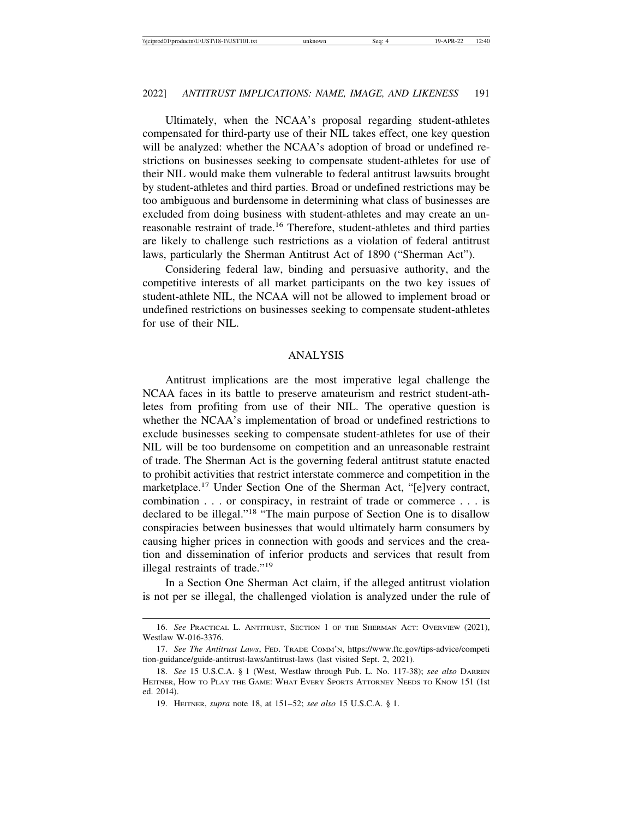Ultimately, when the NCAA's proposal regarding student-athletes compensated for third-party use of their NIL takes effect, one key question will be analyzed: whether the NCAA's adoption of broad or undefined restrictions on businesses seeking to compensate student-athletes for use of their NIL would make them vulnerable to federal antitrust lawsuits brought by student-athletes and third parties. Broad or undefined restrictions may be too ambiguous and burdensome in determining what class of businesses are excluded from doing business with student-athletes and may create an unreasonable restraint of trade.16 Therefore, student-athletes and third parties are likely to challenge such restrictions as a violation of federal antitrust laws, particularly the Sherman Antitrust Act of 1890 ("Sherman Act").

Considering federal law, binding and persuasive authority, and the competitive interests of all market participants on the two key issues of student-athlete NIL, the NCAA will not be allowed to implement broad or undefined restrictions on businesses seeking to compensate student-athletes for use of their NIL.

#### ANALYSIS

Antitrust implications are the most imperative legal challenge the NCAA faces in its battle to preserve amateurism and restrict student-athletes from profiting from use of their NIL. The operative question is whether the NCAA's implementation of broad or undefined restrictions to exclude businesses seeking to compensate student-athletes for use of their NIL will be too burdensome on competition and an unreasonable restraint of trade. The Sherman Act is the governing federal antitrust statute enacted to prohibit activities that restrict interstate commerce and competition in the marketplace.17 Under Section One of the Sherman Act, "[e]very contract, combination . . . or conspiracy, in restraint of trade or commerce . . . is declared to be illegal."18 "The main purpose of Section One is to disallow conspiracies between businesses that would ultimately harm consumers by causing higher prices in connection with goods and services and the creation and dissemination of inferior products and services that result from illegal restraints of trade."<sup>19</sup>

In a Section One Sherman Act claim, if the alleged antitrust violation is not per se illegal, the challenged violation is analyzed under the rule of

<sup>16.</sup> *See* PRACTICAL L. ANTITRUST, SECTION 1 OF THE SHERMAN ACT: OVERVIEW (2021), Westlaw W-016-3376.

<sup>17.</sup> *See The Antitrust Laws*, FED. TRADE COMM'N, https://www.ftc.gov/tips-advice/competi tion-guidance/guide-antitrust-laws/antitrust-laws (last visited Sept. 2, 2021).

<sup>18.</sup> *See* 15 U.S.C.A. § 1 (West, Westlaw through Pub. L. No. 117-38); *see also* DARREN HEITNER, HOW TO PLAY THE GAME: WHAT EVERY SPORTS ATTORNEY NEEDS TO KNOW 151 (1st ed. 2014).

<sup>19.</sup> HEITNER, *supra* note 18, at 151–52; *see also* 15 U.S.C.A. § 1.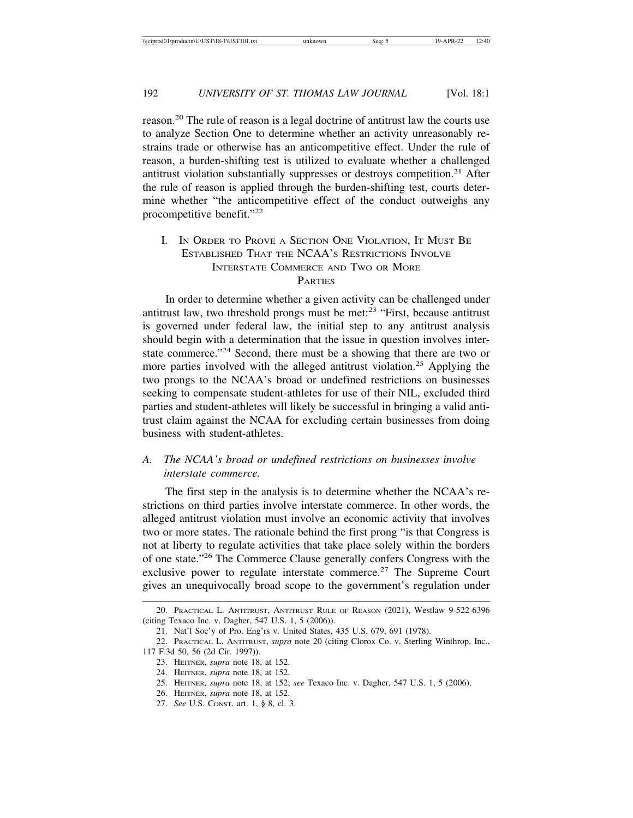reason.20 The rule of reason is a legal doctrine of antitrust law the courts use to analyze Section One to determine whether an activity unreasonably restrains trade or otherwise has an anticompetitive effect. Under the rule of reason, a burden-shifting test is utilized to evaluate whether a challenged antitrust violation substantially suppresses or destroys competition.<sup>21</sup> After the rule of reason is applied through the burden-shifting test, courts determine whether "the anticompetitive effect of the conduct outweighs any procompetitive benefit."<sup>22</sup>

#### I. IN ORDER TO PROVE A SECTION ONE VIOLATION, IT MUST BE ESTABLISHED THAT THE NCAA'S RESTRICTIONS INVOLVE INTERSTATE COMMERCE AND TWO OR MORE **PARTIES**

In order to determine whether a given activity can be challenged under antitrust law, two threshold prongs must be met: $23$  "First, because antitrust" is governed under federal law, the initial step to any antitrust analysis should begin with a determination that the issue in question involves interstate commerce."24 Second, there must be a showing that there are two or more parties involved with the alleged antitrust violation.<sup>25</sup> Applying the two prongs to the NCAA's broad or undefined restrictions on businesses seeking to compensate student-athletes for use of their NIL, excluded third parties and student-athletes will likely be successful in bringing a valid antitrust claim against the NCAA for excluding certain businesses from doing business with student-athletes.

#### *A. The NCAA's broad or undefined restrictions on businesses involve interstate commerce.*

The first step in the analysis is to determine whether the NCAA's restrictions on third parties involve interstate commerce. In other words, the alleged antitrust violation must involve an economic activity that involves two or more states. The rationale behind the first prong "is that Congress is not at liberty to regulate activities that take place solely within the borders of one state."26 The Commerce Clause generally confers Congress with the exclusive power to regulate interstate commerce.<sup>27</sup> The Supreme Court gives an unequivocally broad scope to the government's regulation under

<sup>20.</sup> PRACTICAL L. ANTITRUST, ANTITRUST RULE OF REASON (2021), Westlaw 9-522-6396 (citing Texaco Inc. v. Dagher, 547 U.S. 1, 5 (2006)).

<sup>21.</sup> Nat'l Soc'y of Pro. Eng'rs v. United States, 435 U.S. 679, 691 (1978).

<sup>22.</sup> PRACTICAL L. ANTITRUST, *supra* note 20 (citing Clorox Co. v. Sterling Winthrop, Inc., 117 F.3d 50, 56 (2d Cir. 1997)).

<sup>23.</sup> HEITNER, *supra* note 18, at 152.

<sup>24.</sup> HEITNER, *supra* note 18, at 152.

<sup>25.</sup> HEITNER, *supra* note 18, at 152; *see* Texaco Inc. v. Dagher, 547 U.S. 1, 5 (2006).

<sup>26.</sup> HEITNER, *supra* note 18, at 152.

<sup>27.</sup> *See* U.S. CONST. art. 1, § 8, cl. 3.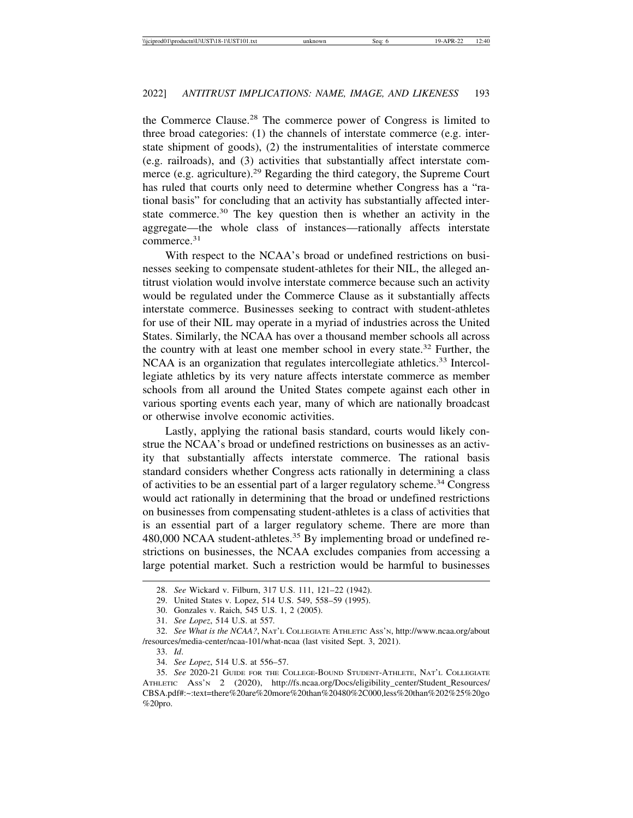the Commerce Clause.28 The commerce power of Congress is limited to three broad categories: (1) the channels of interstate commerce (e.g. interstate shipment of goods), (2) the instrumentalities of interstate commerce (e.g. railroads), and (3) activities that substantially affect interstate commerce (e.g. agriculture).<sup>29</sup> Regarding the third category, the Supreme Court has ruled that courts only need to determine whether Congress has a "rational basis" for concluding that an activity has substantially affected interstate commerce.<sup>30</sup> The key question then is whether an activity in the aggregate—the whole class of instances—rationally affects interstate commerce.<sup>31</sup>

With respect to the NCAA's broad or undefined restrictions on businesses seeking to compensate student-athletes for their NIL, the alleged antitrust violation would involve interstate commerce because such an activity would be regulated under the Commerce Clause as it substantially affects interstate commerce. Businesses seeking to contract with student-athletes for use of their NIL may operate in a myriad of industries across the United States. Similarly, the NCAA has over a thousand member schools all across the country with at least one member school in every state.<sup>32</sup> Further, the NCAA is an organization that regulates intercollegiate athletics.<sup>33</sup> Intercollegiate athletics by its very nature affects interstate commerce as member schools from all around the United States compete against each other in various sporting events each year, many of which are nationally broadcast or otherwise involve economic activities.

Lastly, applying the rational basis standard, courts would likely construe the NCAA's broad or undefined restrictions on businesses as an activity that substantially affects interstate commerce. The rational basis standard considers whether Congress acts rationally in determining a class of activities to be an essential part of a larger regulatory scheme.<sup>34</sup> Congress would act rationally in determining that the broad or undefined restrictions on businesses from compensating student-athletes is a class of activities that is an essential part of a larger regulatory scheme. There are more than 480,000 NCAA student-athletes.35 By implementing broad or undefined restrictions on businesses, the NCAA excludes companies from accessing a large potential market. Such a restriction would be harmful to businesses

<sup>28.</sup> *See* Wickard v. Filburn, 317 U.S. 111, 121–22 (1942).

<sup>29.</sup> United States v. Lopez, 514 U.S. 549, 558–59 (1995).

<sup>30.</sup> Gonzales v. Raich, 545 U.S. 1, 2 (2005).

<sup>31.</sup> *See Lopez*, 514 U.S. at 557*.*

<sup>32.</sup> *See What is the NCAA?*, NAT'L COLLEGIATE ATHLETIC ASS'N, http://www.ncaa.org/about /resources/media-center/ncaa-101/what-ncaa (last visited Sept. 3, 2021).

<sup>33.</sup> *Id*.

<sup>34.</sup> *See Lopez*, 514 U.S. at 556–57.

<sup>35.</sup> *See* 2020-21 GUIDE FOR THE COLLEGE-BOUND STUDENT-ATHLETE, NAT'L COLLEGIATE ATHLETIC ASS'N 2 (2020), http://fs.ncaa.org/Docs/eligibility\_center/Student\_Resources/ CBSA.pdf#:~:text=there%20are%20more%20than%20480%2C000,less%20than%202%25%20go %20pro.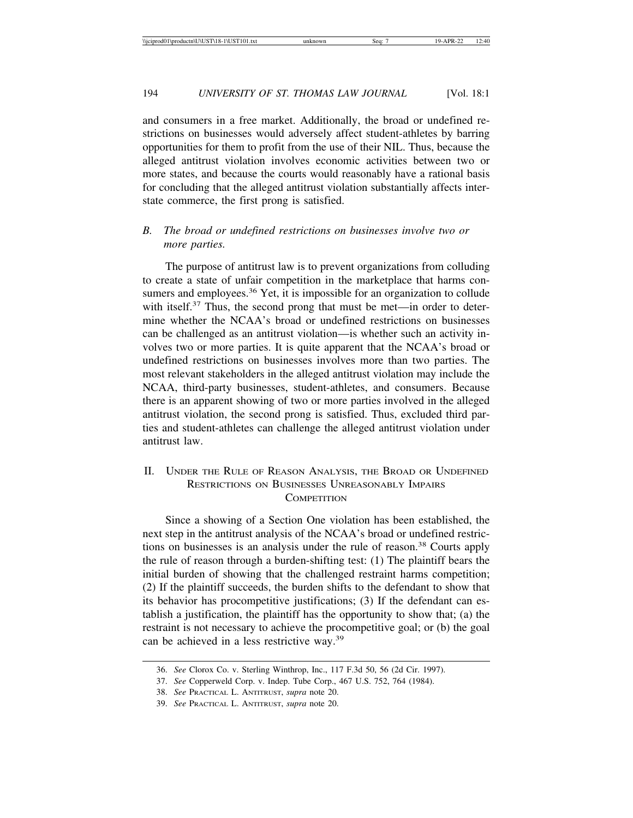and consumers in a free market. Additionally, the broad or undefined restrictions on businesses would adversely affect student-athletes by barring opportunities for them to profit from the use of their NIL. Thus, because the alleged antitrust violation involves economic activities between two or more states, and because the courts would reasonably have a rational basis for concluding that the alleged antitrust violation substantially affects interstate commerce, the first prong is satisfied.

#### *B. The broad or undefined restrictions on businesses involve two or more parties.*

The purpose of antitrust law is to prevent organizations from colluding to create a state of unfair competition in the marketplace that harms consumers and employees.<sup>36</sup> Yet, it is impossible for an organization to collude with itself.<sup>37</sup> Thus, the second prong that must be met—in order to determine whether the NCAA's broad or undefined restrictions on businesses can be challenged as an antitrust violation—is whether such an activity involves two or more parties. It is quite apparent that the NCAA's broad or undefined restrictions on businesses involves more than two parties. The most relevant stakeholders in the alleged antitrust violation may include the NCAA, third-party businesses, student-athletes, and consumers. Because there is an apparent showing of two or more parties involved in the alleged antitrust violation, the second prong is satisfied. Thus, excluded third parties and student-athletes can challenge the alleged antitrust violation under antitrust law.

#### II. UNDER THE RULE OF REASON ANALYSIS, THE BROAD OR UNDEFINED RESTRICTIONS ON BUSINESSES UNREASONABLY IMPAIRS **COMPETITION**

Since a showing of a Section One violation has been established, the next step in the antitrust analysis of the NCAA's broad or undefined restrictions on businesses is an analysis under the rule of reason.<sup>38</sup> Courts apply the rule of reason through a burden-shifting test: (1) The plaintiff bears the initial burden of showing that the challenged restraint harms competition; (2) If the plaintiff succeeds, the burden shifts to the defendant to show that its behavior has procompetitive justifications; (3) If the defendant can establish a justification, the plaintiff has the opportunity to show that; (a) the restraint is not necessary to achieve the procompetitive goal; or (b) the goal can be achieved in a less restrictive way.<sup>39</sup>

<sup>36.</sup> *See* Clorox Co. v. Sterling Winthrop, Inc., 117 F.3d 50, 56 (2d Cir. 1997).

<sup>37.</sup> *See* Copperweld Corp. v. Indep. Tube Corp., 467 U.S. 752, 764 (1984).

<sup>38.</sup> *See* PRACTICAL L. ANTITRUST, *supra* note 20.

<sup>39.</sup> *See* PRACTICAL L. ANTITRUST, *supra* note 20.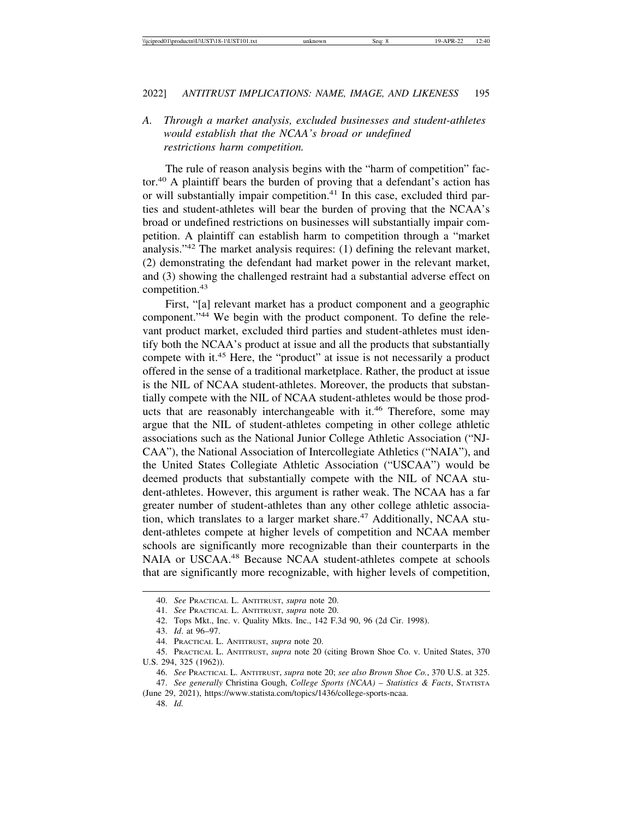## *A. Through a market analysis, excluded businesses and student-athletes would establish that the NCAA's broad or undefined restrictions harm competition.*

The rule of reason analysis begins with the "harm of competition" factor.40 A plaintiff bears the burden of proving that a defendant's action has or will substantially impair competition.<sup>41</sup> In this case, excluded third parties and student-athletes will bear the burden of proving that the NCAA's broad or undefined restrictions on businesses will substantially impair competition. A plaintiff can establish harm to competition through a "market analysis."42 The market analysis requires: (1) defining the relevant market, (2) demonstrating the defendant had market power in the relevant market, and (3) showing the challenged restraint had a substantial adverse effect on competition.<sup>43</sup>

First, "[a] relevant market has a product component and a geographic component."44 We begin with the product component. To define the relevant product market, excluded third parties and student-athletes must identify both the NCAA's product at issue and all the products that substantially compete with it.45 Here, the "product" at issue is not necessarily a product offered in the sense of a traditional marketplace. Rather, the product at issue is the NIL of NCAA student-athletes. Moreover, the products that substantially compete with the NIL of NCAA student-athletes would be those products that are reasonably interchangeable with it.<sup>46</sup> Therefore, some may argue that the NIL of student-athletes competing in other college athletic associations such as the National Junior College Athletic Association ("NJ-CAA"), the National Association of Intercollegiate Athletics ("NAIA"), and the United States Collegiate Athletic Association ("USCAA") would be deemed products that substantially compete with the NIL of NCAA student-athletes. However, this argument is rather weak. The NCAA has a far greater number of student-athletes than any other college athletic association, which translates to a larger market share.<sup>47</sup> Additionally, NCAA student-athletes compete at higher levels of competition and NCAA member schools are significantly more recognizable than their counterparts in the NAIA or USCAA.48 Because NCAA student-athletes compete at schools that are significantly more recognizable, with higher levels of competition,

46. *See* PRACTICAL L. ANTITRUST, *supra* note 20; *see also Brown Shoe Co.*, 370 U.S. at 325.

48. *Id.*

<sup>40.</sup> *See* PRACTICAL L. ANTITRUST, *supra* note 20.

<sup>41.</sup> *See* PRACTICAL L. ANTITRUST, *supra* note 20.

<sup>42.</sup> Tops Mkt., Inc. v. Quality Mkts. Inc., 142 F.3d 90, 96 (2d Cir. 1998).

<sup>43.</sup> *Id*. at 96–97.

<sup>44.</sup> PRACTICAL L. ANTITRUST, *supra* note 20.

<sup>45.</sup> PRACTICAL L. ANTITRUST, *supra* note 20 (citing Brown Shoe Co. v. United States, 370 U.S. 294, 325 (1962)).

<sup>47.</sup> *See generally* Christina Gough, *College Sports (NCAA) – Statistics & Facts*, STATISTA (June 29, 2021), https://www.statista.com/topics/1436/college-sports-ncaa.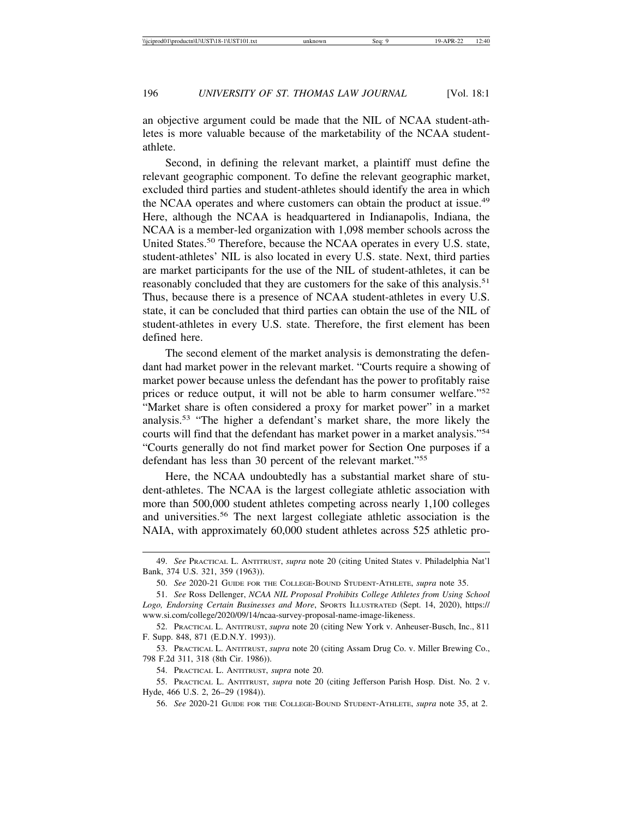an objective argument could be made that the NIL of NCAA student-athletes is more valuable because of the marketability of the NCAA studentathlete.

Second, in defining the relevant market, a plaintiff must define the relevant geographic component. To define the relevant geographic market, excluded third parties and student-athletes should identify the area in which the NCAA operates and where customers can obtain the product at issue.<sup>49</sup> Here, although the NCAA is headquartered in Indianapolis, Indiana, the NCAA is a member-led organization with 1,098 member schools across the United States.<sup>50</sup> Therefore, because the NCAA operates in every U.S. state, student-athletes' NIL is also located in every U.S. state. Next, third parties are market participants for the use of the NIL of student-athletes, it can be reasonably concluded that they are customers for the sake of this analysis.<sup>51</sup> Thus, because there is a presence of NCAA student-athletes in every U.S. state, it can be concluded that third parties can obtain the use of the NIL of student-athletes in every U.S. state. Therefore, the first element has been defined here.

The second element of the market analysis is demonstrating the defendant had market power in the relevant market. "Courts require a showing of market power because unless the defendant has the power to profitably raise prices or reduce output, it will not be able to harm consumer welfare."<sup>52</sup> "Market share is often considered a proxy for market power" in a market analysis.53 "The higher a defendant's market share, the more likely the courts will find that the defendant has market power in a market analysis."<sup>54</sup> "Courts generally do not find market power for Section One purposes if a defendant has less than 30 percent of the relevant market."<sup>55</sup>

Here, the NCAA undoubtedly has a substantial market share of student-athletes. The NCAA is the largest collegiate athletic association with more than 500,000 student athletes competing across nearly 1,100 colleges and universities.56 The next largest collegiate athletic association is the NAIA, with approximately 60,000 student athletes across 525 athletic pro-

<sup>49.</sup> *See* PRACTICAL L. ANTITRUST, *supra* note 20 (citing United States v. Philadelphia Nat'l Bank, 374 U.S. 321, 359 (1963)).

<sup>50.</sup> *See* 2020-21 GUIDE FOR THE COLLEGE-BOUND STUDENT-ATHLETE, *supra* note 35.

<sup>51.</sup> *See* Ross Dellenger, *NCAA NIL Proposal Prohibits College Athletes from Using School* Logo, Endorsing Certain Businesses and More, SPORTS ILLUSTRATED (Sept. 14, 2020), https:// www.si.com/college/2020/09/14/ncaa-survey-proposal-name-image-likeness.

<sup>52.</sup> PRACTICAL L. ANTITRUST, *supra* note 20 (citing New York v. Anheuser-Busch, Inc., 811 F. Supp. 848, 871 (E.D.N.Y. 1993)).

<sup>53.</sup> PRACTICAL L. ANTITRUST, *supra* note 20 (citing Assam Drug Co. v. Miller Brewing Co., 798 F.2d 311, 318 (8th Cir. 1986)).

<sup>54.</sup> PRACTICAL L. ANTITRUST, *supra* note 20.

<sup>55.</sup> PRACTICAL L. ANTITRUST, *supra* note 20 (citing Jefferson Parish Hosp. Dist. No. 2 v. Hyde, 466 U.S. 2, 26–29 (1984)).

<sup>56.</sup> *See* 2020-21 GUIDE FOR THE COLLEGE-BOUND STUDENT-ATHLETE, *supra* note 35, at 2.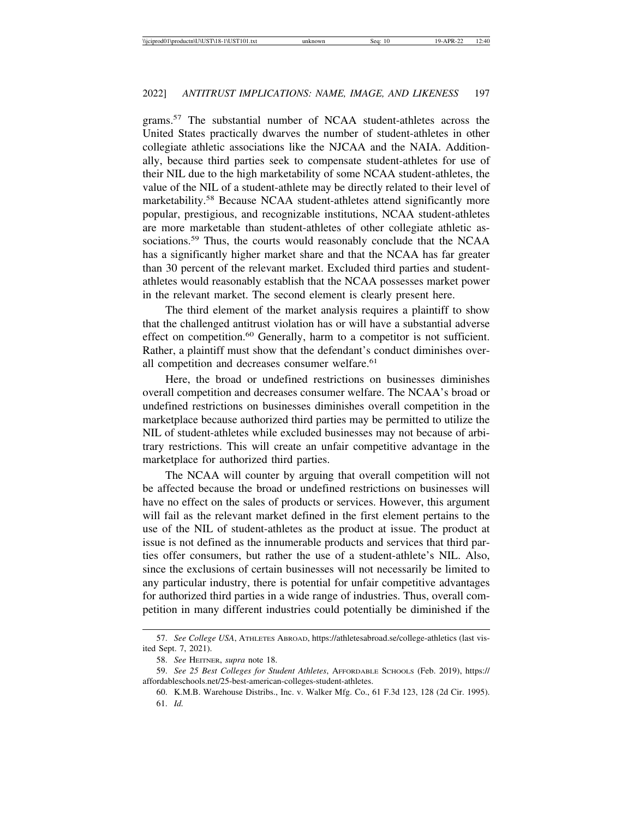grams.57 The substantial number of NCAA student-athletes across the United States practically dwarves the number of student-athletes in other collegiate athletic associations like the NJCAA and the NAIA. Additionally, because third parties seek to compensate student-athletes for use of their NIL due to the high marketability of some NCAA student-athletes, the value of the NIL of a student-athlete may be directly related to their level of marketability.<sup>58</sup> Because NCAA student-athletes attend significantly more popular, prestigious, and recognizable institutions, NCAA student-athletes are more marketable than student-athletes of other collegiate athletic associations.<sup>59</sup> Thus, the courts would reasonably conclude that the NCAA has a significantly higher market share and that the NCAA has far greater than 30 percent of the relevant market. Excluded third parties and studentathletes would reasonably establish that the NCAA possesses market power in the relevant market. The second element is clearly present here.

The third element of the market analysis requires a plaintiff to show that the challenged antitrust violation has or will have a substantial adverse effect on competition.<sup>60</sup> Generally, harm to a competitor is not sufficient. Rather, a plaintiff must show that the defendant's conduct diminishes overall competition and decreases consumer welfare.<sup>61</sup>

Here, the broad or undefined restrictions on businesses diminishes overall competition and decreases consumer welfare. The NCAA's broad or undefined restrictions on businesses diminishes overall competition in the marketplace because authorized third parties may be permitted to utilize the NIL of student-athletes while excluded businesses may not because of arbitrary restrictions. This will create an unfair competitive advantage in the marketplace for authorized third parties.

The NCAA will counter by arguing that overall competition will not be affected because the broad or undefined restrictions on businesses will have no effect on the sales of products or services. However, this argument will fail as the relevant market defined in the first element pertains to the use of the NIL of student-athletes as the product at issue. The product at issue is not defined as the innumerable products and services that third parties offer consumers, but rather the use of a student-athlete's NIL. Also, since the exclusions of certain businesses will not necessarily be limited to any particular industry, there is potential for unfair competitive advantages for authorized third parties in a wide range of industries. Thus, overall competition in many different industries could potentially be diminished if the

<sup>57.</sup> *See College USA*, ATHLETES ABROAD, https://athletesabroad.se/college-athletics (last visited Sept. 7, 2021).

<sup>58.</sup> *See* HEITNER, *supra* note 18.

<sup>59.</sup> *See 25 Best Colleges for Student Athletes*, AFFORDABLE SCHOOLS (Feb. 2019), https:// affordableschools.net/25-best-american-colleges-student-athletes.

<sup>60.</sup> K.M.B. Warehouse Distribs., Inc. v. Walker Mfg. Co., 61 F.3d 123, 128 (2d Cir. 1995). 61. *Id.*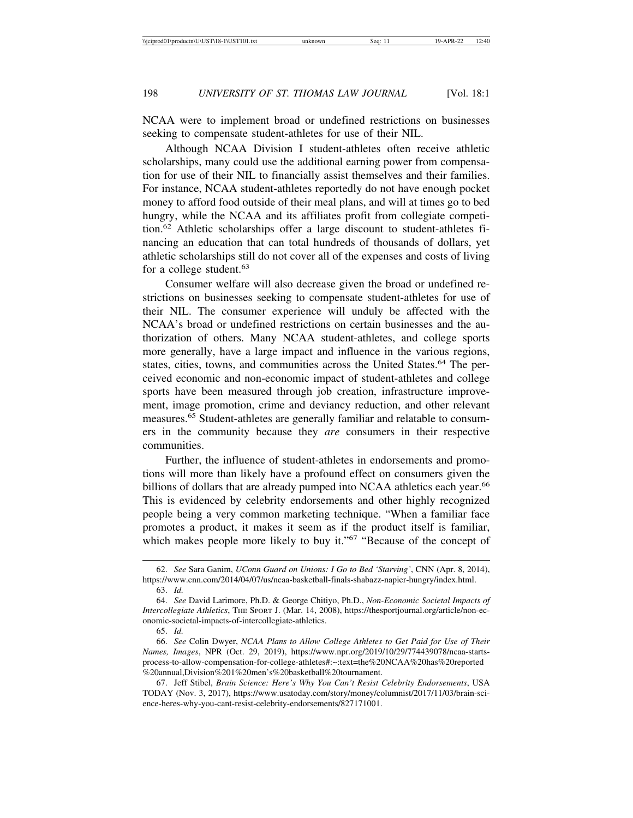NCAA were to implement broad or undefined restrictions on businesses seeking to compensate student-athletes for use of their NIL.

Although NCAA Division I student-athletes often receive athletic scholarships, many could use the additional earning power from compensation for use of their NIL to financially assist themselves and their families. For instance, NCAA student-athletes reportedly do not have enough pocket money to afford food outside of their meal plans, and will at times go to bed hungry, while the NCAA and its affiliates profit from collegiate competition.62 Athletic scholarships offer a large discount to student-athletes financing an education that can total hundreds of thousands of dollars, yet athletic scholarships still do not cover all of the expenses and costs of living for a college student.<sup>63</sup>

Consumer welfare will also decrease given the broad or undefined restrictions on businesses seeking to compensate student-athletes for use of their NIL. The consumer experience will unduly be affected with the NCAA's broad or undefined restrictions on certain businesses and the authorization of others. Many NCAA student-athletes, and college sports more generally, have a large impact and influence in the various regions, states, cities, towns, and communities across the United States.<sup>64</sup> The perceived economic and non-economic impact of student-athletes and college sports have been measured through job creation, infrastructure improvement, image promotion, crime and deviancy reduction, and other relevant measures.65 Student-athletes are generally familiar and relatable to consumers in the community because they *are* consumers in their respective communities.

Further, the influence of student-athletes in endorsements and promotions will more than likely have a profound effect on consumers given the billions of dollars that are already pumped into NCAA athletics each year.<sup>66</sup> This is evidenced by celebrity endorsements and other highly recognized people being a very common marketing technique. "When a familiar face promotes a product, it makes it seem as if the product itself is familiar, which makes people more likely to buy it."<sup>67</sup> "Because of the concept of

65. *Id.*

<sup>62.</sup> *See* Sara Ganim, *UConn Guard on Unions: I Go to Bed 'Starving'*, CNN (Apr. 8, 2014), https://www.cnn.com/2014/04/07/us/ncaa-basketball-finals-shabazz-napier-hungry/index.html.

<sup>63.</sup> *Id.*

<sup>64.</sup> *See* David Larimore, Ph.D. & George Chitiyo, Ph.D., *Non-Economic Societal Impacts of Intercollegiate Athletics*, THE SPORT J. (Mar. 14, 2008), https://thesportjournal.org/article/non-economic-societal-impacts-of-intercollegiate-athletics.

<sup>66.</sup> *See* Colin Dwyer, *NCAA Plans to Allow College Athletes to Get Paid for Use of Their Names, Images*, NPR (Oct. 29, 2019), https://www.npr.org/2019/10/29/774439078/ncaa-startsprocess-to-allow-compensation-for-college-athletes#:~:text=the%20NCAA%20has%20reported %20annual,Division%201%20men's%20basketball%20tournament.

<sup>67.</sup> Jeff Stibel, *Brain Science: Here's Why You Can't Resist Celebrity Endorsements*, USA TODAY (Nov. 3, 2017), https://www.usatoday.com/story/money/columnist/2017/11/03/brain-science-heres-why-you-cant-resist-celebrity-endorsements/827171001.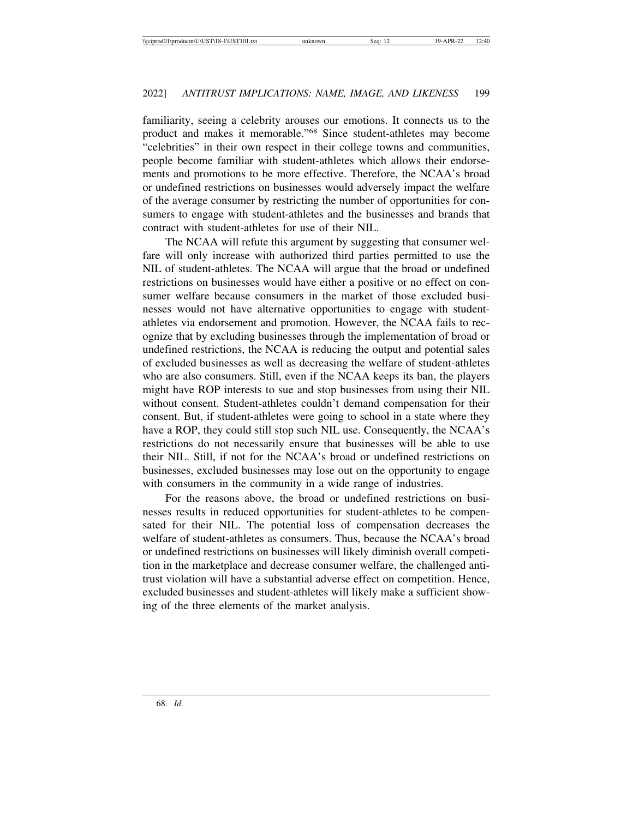familiarity, seeing a celebrity arouses our emotions. It connects us to the product and makes it memorable."68 Since student-athletes may become "celebrities" in their own respect in their college towns and communities, people become familiar with student-athletes which allows their endorsements and promotions to be more effective. Therefore, the NCAA's broad or undefined restrictions on businesses would adversely impact the welfare of the average consumer by restricting the number of opportunities for consumers to engage with student-athletes and the businesses and brands that contract with student-athletes for use of their NIL.

The NCAA will refute this argument by suggesting that consumer welfare will only increase with authorized third parties permitted to use the NIL of student-athletes. The NCAA will argue that the broad or undefined restrictions on businesses would have either a positive or no effect on consumer welfare because consumers in the market of those excluded businesses would not have alternative opportunities to engage with studentathletes via endorsement and promotion. However, the NCAA fails to recognize that by excluding businesses through the implementation of broad or undefined restrictions, the NCAA is reducing the output and potential sales of excluded businesses as well as decreasing the welfare of student-athletes who are also consumers. Still, even if the NCAA keeps its ban, the players might have ROP interests to sue and stop businesses from using their NIL without consent. Student-athletes couldn't demand compensation for their consent. But, if student-athletes were going to school in a state where they have a ROP, they could still stop such NIL use. Consequently, the NCAA's restrictions do not necessarily ensure that businesses will be able to use their NIL. Still, if not for the NCAA's broad or undefined restrictions on businesses, excluded businesses may lose out on the opportunity to engage with consumers in the community in a wide range of industries.

For the reasons above, the broad or undefined restrictions on businesses results in reduced opportunities for student-athletes to be compensated for their NIL. The potential loss of compensation decreases the welfare of student-athletes as consumers. Thus, because the NCAA's broad or undefined restrictions on businesses will likely diminish overall competition in the marketplace and decrease consumer welfare, the challenged antitrust violation will have a substantial adverse effect on competition. Hence, excluded businesses and student-athletes will likely make a sufficient showing of the three elements of the market analysis.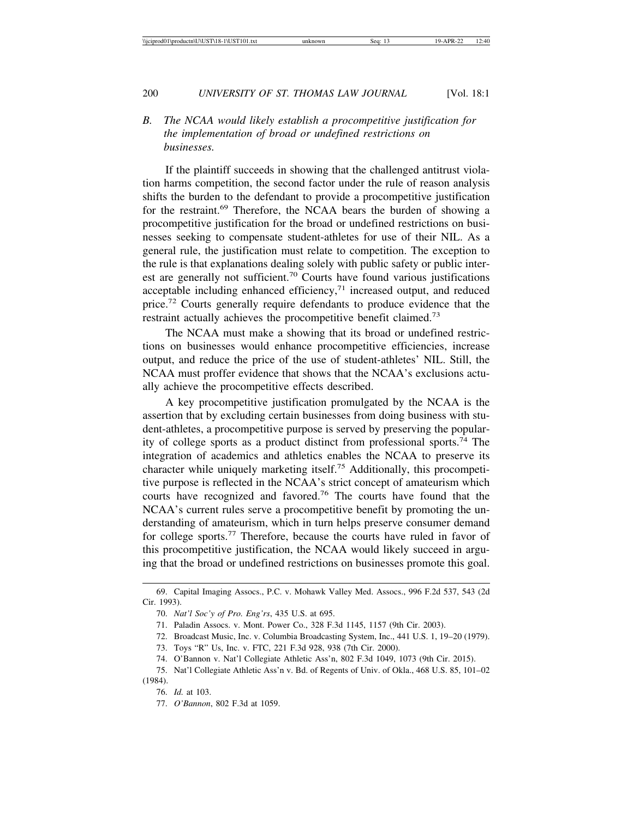*B. The NCAA would likely establish a procompetitive justification for the implementation of broad or undefined restrictions on businesses.*

If the plaintiff succeeds in showing that the challenged antitrust violation harms competition, the second factor under the rule of reason analysis shifts the burden to the defendant to provide a procompetitive justification for the restraint.69 Therefore, the NCAA bears the burden of showing a procompetitive justification for the broad or undefined restrictions on businesses seeking to compensate student-athletes for use of their NIL. As a general rule, the justification must relate to competition. The exception to the rule is that explanations dealing solely with public safety or public interest are generally not sufficient.<sup>70</sup> Courts have found various justifications acceptable including enhanced efficiency, $71$  increased output, and reduced price.72 Courts generally require defendants to produce evidence that the restraint actually achieves the procompetitive benefit claimed.<sup>73</sup>

The NCAA must make a showing that its broad or undefined restrictions on businesses would enhance procompetitive efficiencies, increase output, and reduce the price of the use of student-athletes' NIL. Still, the NCAA must proffer evidence that shows that the NCAA's exclusions actually achieve the procompetitive effects described.

A key procompetitive justification promulgated by the NCAA is the assertion that by excluding certain businesses from doing business with student-athletes, a procompetitive purpose is served by preserving the popularity of college sports as a product distinct from professional sports.74 The integration of academics and athletics enables the NCAA to preserve its character while uniquely marketing itself.75 Additionally, this procompetitive purpose is reflected in the NCAA's strict concept of amateurism which courts have recognized and favored.76 The courts have found that the NCAA's current rules serve a procompetitive benefit by promoting the understanding of amateurism, which in turn helps preserve consumer demand for college sports.77 Therefore, because the courts have ruled in favor of this procompetitive justification, the NCAA would likely succeed in arguing that the broad or undefined restrictions on businesses promote this goal.

<sup>69.</sup> Capital Imaging Assocs., P.C. v. Mohawk Valley Med. Assocs., 996 F.2d 537, 543 (2d Cir. 1993).

<sup>70.</sup> *Nat'l Soc'y of Pro. Eng'rs*, 435 U.S. at 695.

<sup>71.</sup> Paladin Assocs. v. Mont. Power Co., 328 F.3d 1145, 1157 (9th Cir. 2003).

<sup>72.</sup> Broadcast Music, Inc. v. Columbia Broadcasting System, Inc., 441 U.S. 1, 19–20 (1979).

<sup>73.</sup> Toys "R" Us, Inc. v. FTC, 221 F.3d 928, 938 (7th Cir. 2000).

<sup>74.</sup> O'Bannon v. Nat'l Collegiate Athletic Ass'n, 802 F.3d 1049, 1073 (9th Cir. 2015).

<sup>75.</sup> Nat'l Collegiate Athletic Ass'n v. Bd. of Regents of Univ. of Okla., 468 U.S. 85, 101–02 (1984).

<sup>76.</sup> *Id.* at 103.

<sup>77.</sup> *O'Bannon*, 802 F.3d at 1059.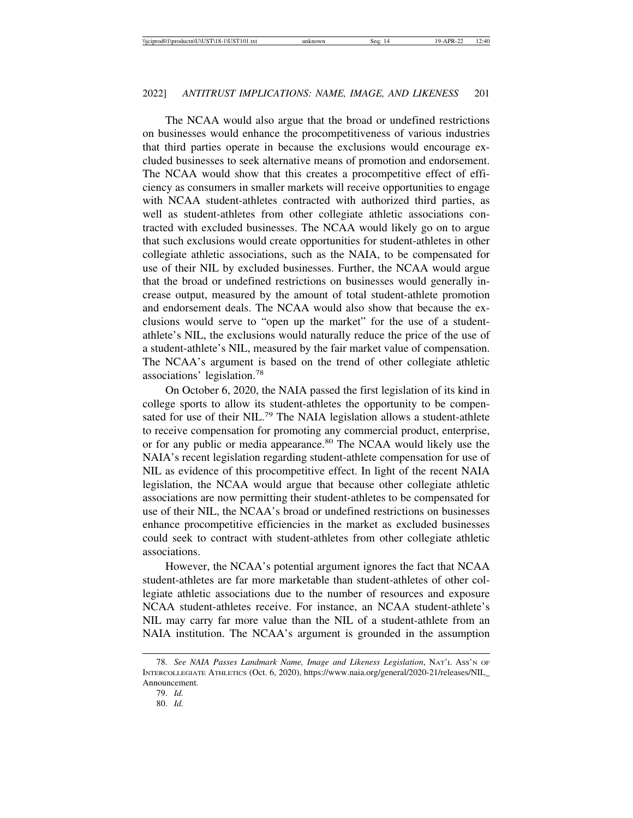The NCAA would also argue that the broad or undefined restrictions on businesses would enhance the procompetitiveness of various industries that third parties operate in because the exclusions would encourage excluded businesses to seek alternative means of promotion and endorsement. The NCAA would show that this creates a procompetitive effect of efficiency as consumers in smaller markets will receive opportunities to engage with NCAA student-athletes contracted with authorized third parties, as well as student-athletes from other collegiate athletic associations contracted with excluded businesses. The NCAA would likely go on to argue that such exclusions would create opportunities for student-athletes in other collegiate athletic associations, such as the NAIA, to be compensated for use of their NIL by excluded businesses. Further, the NCAA would argue that the broad or undefined restrictions on businesses would generally increase output, measured by the amount of total student-athlete promotion and endorsement deals. The NCAA would also show that because the exclusions would serve to "open up the market" for the use of a studentathlete's NIL, the exclusions would naturally reduce the price of the use of a student-athlete's NIL, measured by the fair market value of compensation. The NCAA's argument is based on the trend of other collegiate athletic associations' legislation.<sup>78</sup>

On October 6, 2020, the NAIA passed the first legislation of its kind in college sports to allow its student-athletes the opportunity to be compensated for use of their NIL.<sup>79</sup> The NAIA legislation allows a student-athlete to receive compensation for promoting any commercial product, enterprise, or for any public or media appearance.<sup>80</sup> The NCAA would likely use the NAIA's recent legislation regarding student-athlete compensation for use of NIL as evidence of this procompetitive effect. In light of the recent NAIA legislation, the NCAA would argue that because other collegiate athletic associations are now permitting their student-athletes to be compensated for use of their NIL, the NCAA's broad or undefined restrictions on businesses enhance procompetitive efficiencies in the market as excluded businesses could seek to contract with student-athletes from other collegiate athletic associations.

However, the NCAA's potential argument ignores the fact that NCAA student-athletes are far more marketable than student-athletes of other collegiate athletic associations due to the number of resources and exposure NCAA student-athletes receive. For instance, an NCAA student-athlete's NIL may carry far more value than the NIL of a student-athlete from an NAIA institution. The NCAA's argument is grounded in the assumption

<sup>78.</sup> *See NAIA Passes Landmark Name, Image and Likeness Legislation*, NAT'L ASS'N OF INTERCOLLEGIATE ATHLETICS (Oct. 6, 2020), https://www.naia.org/general/2020-21/releases/NIL\_ Announcement.

<sup>79.</sup> *Id.*

<sup>80.</sup> *Id.*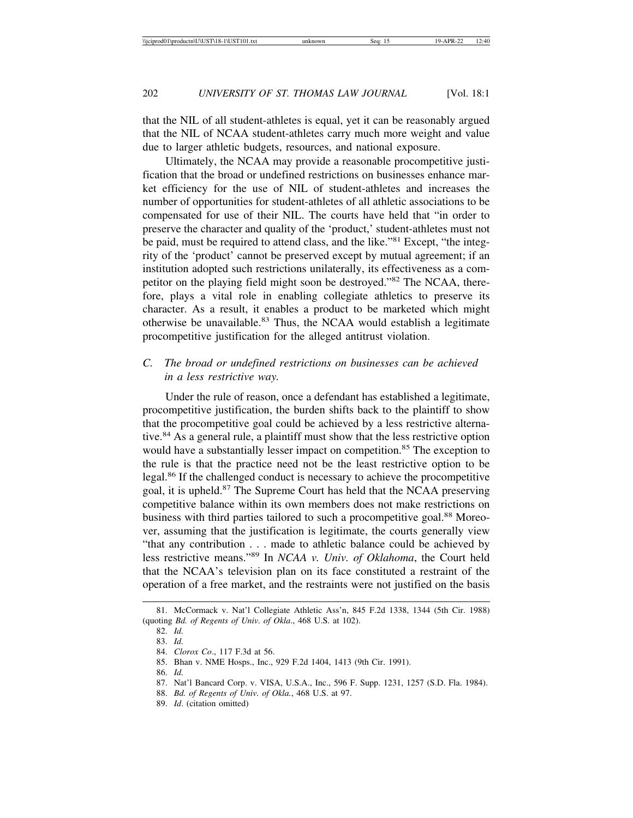that the NIL of all student-athletes is equal, yet it can be reasonably argued that the NIL of NCAA student-athletes carry much more weight and value due to larger athletic budgets, resources, and national exposure.

Ultimately, the NCAA may provide a reasonable procompetitive justification that the broad or undefined restrictions on businesses enhance market efficiency for the use of NIL of student-athletes and increases the number of opportunities for student-athletes of all athletic associations to be compensated for use of their NIL. The courts have held that "in order to preserve the character and quality of the 'product,' student-athletes must not be paid, must be required to attend class, and the like."81 Except, "the integrity of the 'product' cannot be preserved except by mutual agreement; if an institution adopted such restrictions unilaterally, its effectiveness as a competitor on the playing field might soon be destroyed."82 The NCAA, therefore, plays a vital role in enabling collegiate athletics to preserve its character. As a result, it enables a product to be marketed which might otherwise be unavailable.<sup>83</sup> Thus, the NCAA would establish a legitimate procompetitive justification for the alleged antitrust violation.

#### *C. The broad or undefined restrictions on businesses can be achieved in a less restrictive way.*

Under the rule of reason, once a defendant has established a legitimate, procompetitive justification, the burden shifts back to the plaintiff to show that the procompetitive goal could be achieved by a less restrictive alternative.<sup>84</sup> As a general rule, a plaintiff must show that the less restrictive option would have a substantially lesser impact on competition.<sup>85</sup> The exception to the rule is that the practice need not be the least restrictive option to be legal.86 If the challenged conduct is necessary to achieve the procompetitive goal, it is upheld.87 The Supreme Court has held that the NCAA preserving competitive balance within its own members does not make restrictions on business with third parties tailored to such a procompetitive goal.<sup>88</sup> Moreover, assuming that the justification is legitimate, the courts generally view "that any contribution . . . made to athletic balance could be achieved by less restrictive means."89 In *NCAA v. Univ. of Oklahoma*, the Court held that the NCAA's television plan on its face constituted a restraint of the operation of a free market, and the restraints were not justified on the basis

<sup>81.</sup> McCormack v. Nat'l Collegiate Athletic Ass'n, 845 F.2d 1338, 1344 (5th Cir. 1988) (quoting *Bd. of Regents of Univ. of Okla*., 468 U.S. at 102).

<sup>82.</sup> *Id.*

<sup>83.</sup> *Id.* 84. *Clorox Co*., 117 F.3d at 56.

<sup>85.</sup> Bhan v. NME Hosps., Inc., 929 F.2d 1404, 1413 (9th Cir. 1991).

<sup>86.</sup> *Id.*

<sup>87.</sup> Nat'l Bancard Corp. v. VISA, U.S.A., Inc., 596 F. Supp. 1231, 1257 (S.D. Fla. 1984).

<sup>88.</sup> *Bd. of Regents of Univ. of Okla.*, 468 U.S. at 97.

<sup>89.</sup> *Id*. (citation omitted)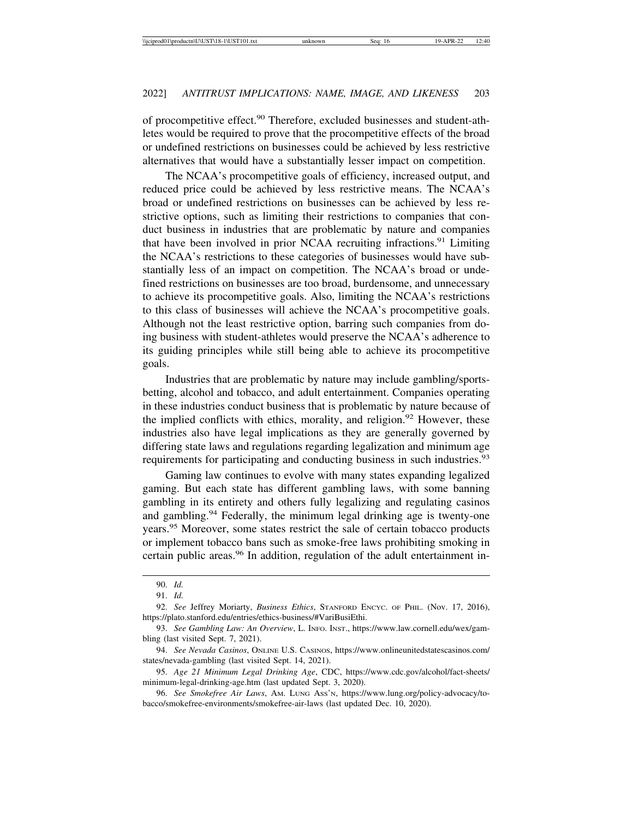of procompetitive effect.90 Therefore, excluded businesses and student-athletes would be required to prove that the procompetitive effects of the broad or undefined restrictions on businesses could be achieved by less restrictive alternatives that would have a substantially lesser impact on competition.

The NCAA's procompetitive goals of efficiency, increased output, and reduced price could be achieved by less restrictive means. The NCAA's broad or undefined restrictions on businesses can be achieved by less restrictive options, such as limiting their restrictions to companies that conduct business in industries that are problematic by nature and companies that have been involved in prior NCAA recruiting infractions.<sup>91</sup> Limiting the NCAA's restrictions to these categories of businesses would have substantially less of an impact on competition. The NCAA's broad or undefined restrictions on businesses are too broad, burdensome, and unnecessary to achieve its procompetitive goals. Also, limiting the NCAA's restrictions to this class of businesses will achieve the NCAA's procompetitive goals. Although not the least restrictive option, barring such companies from doing business with student-athletes would preserve the NCAA's adherence to its guiding principles while still being able to achieve its procompetitive goals.

Industries that are problematic by nature may include gambling/sportsbetting, alcohol and tobacco, and adult entertainment. Companies operating in these industries conduct business that is problematic by nature because of the implied conflicts with ethics, morality, and religion.<sup>92</sup> However, these industries also have legal implications as they are generally governed by differing state laws and regulations regarding legalization and minimum age requirements for participating and conducting business in such industries.<sup>93</sup>

Gaming law continues to evolve with many states expanding legalized gaming. But each state has different gambling laws, with some banning gambling in its entirety and others fully legalizing and regulating casinos and gambling.94 Federally, the minimum legal drinking age is twenty-one years.95 Moreover, some states restrict the sale of certain tobacco products or implement tobacco bans such as smoke-free laws prohibiting smoking in certain public areas.<sup>96</sup> In addition, regulation of the adult entertainment in-

<sup>90.</sup> *Id.*

<sup>91.</sup> *Id.*

<sup>92.</sup> *See* Jeffrey Moriarty, *Business Ethics*, STANFORD ENCYC. OF PHIL. (Nov. 17, 2016), https://plato.stanford.edu/entries/ethics-business/#VariBusiEthi.

<sup>93.</sup> *See Gambling Law: An Overview*, L. INFO. INST., https://www.law.cornell.edu/wex/gambling (last visited Sept. 7, 2021).

<sup>94.</sup> *See Nevada Casinos*, ONLINE U.S. CASINOS, https://www.onlineunitedstatescasinos.com/ states/nevada-gambling (last visited Sept. 14, 2021).

<sup>95.</sup> *Age 21 Minimum Legal Drinking Age*, CDC, https://www.cdc.gov/alcohol/fact-sheets/ minimum-legal-drinking-age.htm (last updated Sept. 3, 2020).

<sup>96.</sup> *See Smokefree Air Laws*, AM. LUNG ASS'N, https://www.lung.org/policy-advocacy/tobacco/smokefree-environments/smokefree-air-laws (last updated Dec. 10, 2020).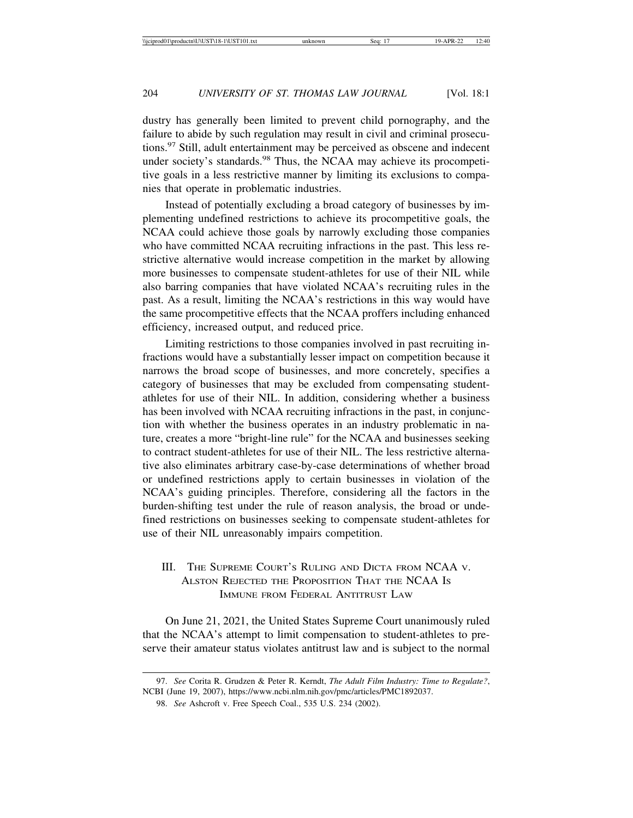dustry has generally been limited to prevent child pornography, and the failure to abide by such regulation may result in civil and criminal prosecutions.97 Still, adult entertainment may be perceived as obscene and indecent under society's standards.<sup>98</sup> Thus, the NCAA may achieve its procompetitive goals in a less restrictive manner by limiting its exclusions to companies that operate in problematic industries.

Instead of potentially excluding a broad category of businesses by implementing undefined restrictions to achieve its procompetitive goals, the NCAA could achieve those goals by narrowly excluding those companies who have committed NCAA recruiting infractions in the past. This less restrictive alternative would increase competition in the market by allowing more businesses to compensate student-athletes for use of their NIL while also barring companies that have violated NCAA's recruiting rules in the past. As a result, limiting the NCAA's restrictions in this way would have the same procompetitive effects that the NCAA proffers including enhanced efficiency, increased output, and reduced price.

Limiting restrictions to those companies involved in past recruiting infractions would have a substantially lesser impact on competition because it narrows the broad scope of businesses, and more concretely, specifies a category of businesses that may be excluded from compensating studentathletes for use of their NIL. In addition, considering whether a business has been involved with NCAA recruiting infractions in the past, in conjunction with whether the business operates in an industry problematic in nature, creates a more "bright-line rule" for the NCAA and businesses seeking to contract student-athletes for use of their NIL. The less restrictive alternative also eliminates arbitrary case-by-case determinations of whether broad or undefined restrictions apply to certain businesses in violation of the NCAA's guiding principles. Therefore, considering all the factors in the burden-shifting test under the rule of reason analysis, the broad or undefined restrictions on businesses seeking to compensate student-athletes for use of their NIL unreasonably impairs competition.

### III. THE SUPREME COURT'S RULING AND DICTA FROM NCAA V. ALSTON REJECTED THE PROPOSITION THAT THE NCAA IS IMMUNE FROM FEDERAL ANTITRUST LAW

On June 21, 2021, the United States Supreme Court unanimously ruled that the NCAA's attempt to limit compensation to student-athletes to preserve their amateur status violates antitrust law and is subject to the normal

<sup>97.</sup> *See* Corita R. Grudzen & Peter R. Kerndt, *The Adult Film Industry: Time to Regulate?*, NCBI (June 19, 2007), https://www.ncbi.nlm.nih.gov/pmc/articles/PMC1892037.

<sup>98.</sup> *See* Ashcroft v. Free Speech Coal., 535 U.S. 234 (2002).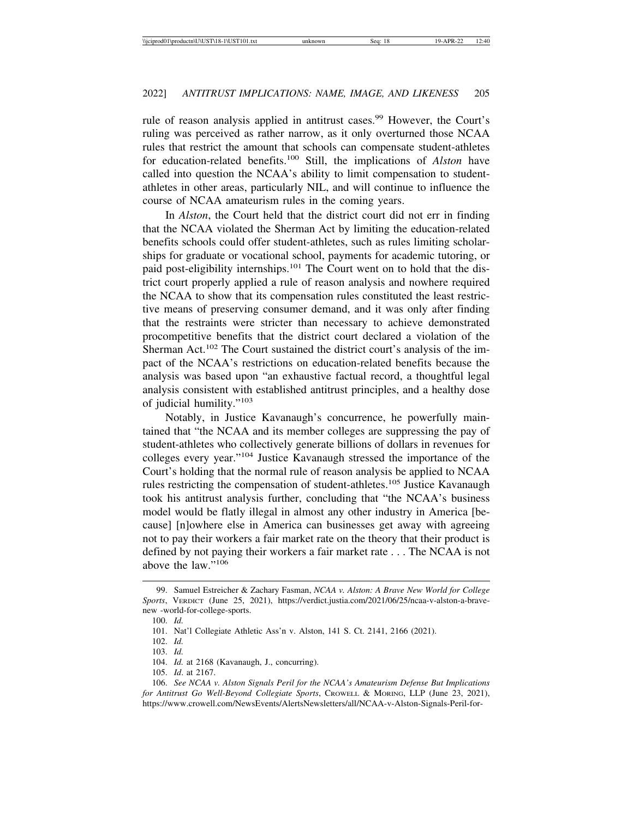rule of reason analysis applied in antitrust cases.<sup>99</sup> However, the Court's ruling was perceived as rather narrow, as it only overturned those NCAA rules that restrict the amount that schools can compensate student-athletes for education-related benefits.100 Still, the implications of *Alston* have called into question the NCAA's ability to limit compensation to studentathletes in other areas, particularly NIL, and will continue to influence the course of NCAA amateurism rules in the coming years.

In *Alston*, the Court held that the district court did not err in finding that the NCAA violated the Sherman Act by limiting the education-related benefits schools could offer student-athletes, such as rules limiting scholarships for graduate or vocational school, payments for academic tutoring, or paid post-eligibility internships.<sup>101</sup> The Court went on to hold that the district court properly applied a rule of reason analysis and nowhere required the NCAA to show that its compensation rules constituted the least restrictive means of preserving consumer demand, and it was only after finding that the restraints were stricter than necessary to achieve demonstrated procompetitive benefits that the district court declared a violation of the Sherman Act.<sup>102</sup> The Court sustained the district court's analysis of the impact of the NCAA's restrictions on education-related benefits because the analysis was based upon "an exhaustive factual record, a thoughtful legal analysis consistent with established antitrust principles, and a healthy dose of judicial humility."<sup>103</sup>

Notably, in Justice Kavanaugh's concurrence, he powerfully maintained that "the NCAA and its member colleges are suppressing the pay of student-athletes who collectively generate billions of dollars in revenues for colleges every year."104 Justice Kavanaugh stressed the importance of the Court's holding that the normal rule of reason analysis be applied to NCAA rules restricting the compensation of student-athletes.<sup>105</sup> Justice Kavanaugh took his antitrust analysis further, concluding that "the NCAA's business model would be flatly illegal in almost any other industry in America [because] [n]owhere else in America can businesses get away with agreeing not to pay their workers a fair market rate on the theory that their product is defined by not paying their workers a fair market rate . . . The NCAA is not above the law."106

<sup>99.</sup> Samuel Estreicher & Zachary Fasman, *NCAA v. Alston: A Brave New World for College Sports*, VERDICT (June 25, 2021), https://verdict.justia.com/2021/06/25/ncaa-v-alston-a-bravenew -world-for-college-sports.

<sup>100.</sup> *Id.*

<sup>101.</sup> Nat'l Collegiate Athletic Ass'n v. Alston, 141 S. Ct. 2141, 2166 (2021).

<sup>102.</sup> *Id.*

<sup>103.</sup> *Id.*

<sup>104.</sup> *Id.* at 2168 (Kavanaugh, J., concurring).

<sup>105.</sup> *Id*. at 2167.

<sup>106.</sup> *See NCAA v. Alston Signals Peril for the NCAA's Amateurism Defense But Implications for Antitrust Go Well-Beyond Collegiate Sports*, CROWELL & MORING, LLP (June 23, 2021), https://www.crowell.com/NewsEvents/AlertsNewsletters/all/NCAA-v-Alston-Signals-Peril-for-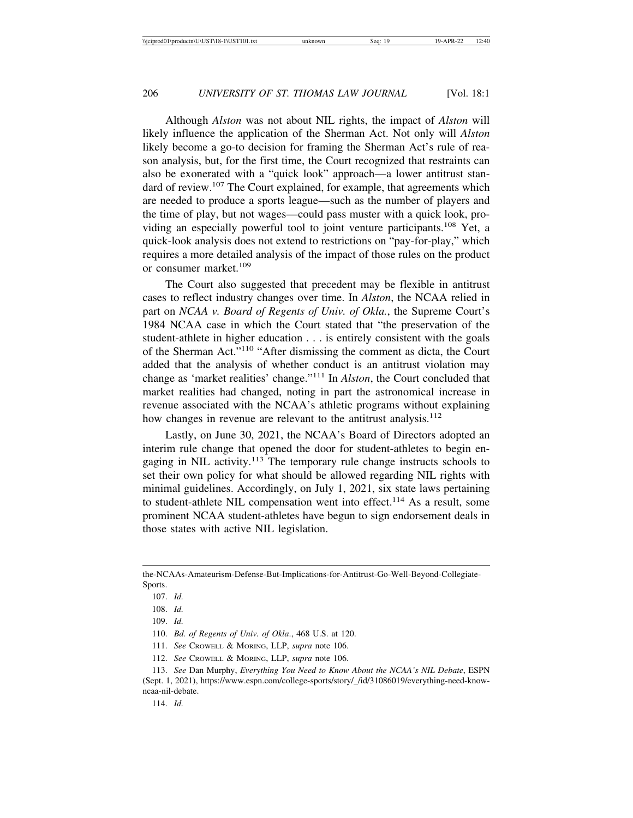Although *Alston* was not about NIL rights, the impact of *Alston* will likely influence the application of the Sherman Act. Not only will *Alston* likely become a go-to decision for framing the Sherman Act's rule of reason analysis, but, for the first time, the Court recognized that restraints can also be exonerated with a "quick look" approach—a lower antitrust standard of review.<sup>107</sup> The Court explained, for example, that agreements which are needed to produce a sports league—such as the number of players and the time of play, but not wages—could pass muster with a quick look, providing an especially powerful tool to joint venture participants.108 Yet, a quick-look analysis does not extend to restrictions on "pay-for-play," which requires a more detailed analysis of the impact of those rules on the product or consumer market.<sup>109</sup>

The Court also suggested that precedent may be flexible in antitrust cases to reflect industry changes over time. In *Alston*, the NCAA relied in part on *NCAA v. Board of Regents of Univ. of Okla.*, the Supreme Court's 1984 NCAA case in which the Court stated that "the preservation of the student-athlete in higher education . . . is entirely consistent with the goals of the Sherman Act."110 "After dismissing the comment as dicta, the Court added that the analysis of whether conduct is an antitrust violation may change as 'market realities' change."111 In *Alston*, the Court concluded that market realities had changed, noting in part the astronomical increase in revenue associated with the NCAA's athletic programs without explaining how changes in revenue are relevant to the antitrust analysis.<sup>112</sup>

Lastly, on June 30, 2021, the NCAA's Board of Directors adopted an interim rule change that opened the door for student-athletes to begin engaging in NIL activity.<sup>113</sup> The temporary rule change instructs schools to set their own policy for what should be allowed regarding NIL rights with minimal guidelines. Accordingly, on July 1, 2021, six state laws pertaining to student-athlete NIL compensation went into effect.<sup>114</sup> As a result, some prominent NCAA student-athletes have begun to sign endorsement deals in those states with active NIL legislation.

- 111. *See* CROWELL & MORING, LLP, *supra* note 106.
- 112. *See* CROWELL & MORING, LLP, *supra* note 106.

the-NCAAs-Amateurism-Defense-But-Implications-for-Antitrust-Go-Well-Beyond-Collegiate-Sports.

<sup>107.</sup> *Id.*

<sup>108.</sup> *Id.*

<sup>109.</sup> *Id.*

<sup>110.</sup> *Bd. of Regents of Univ. of Okla*., 468 U.S. at 120.

<sup>113.</sup> *See* Dan Murphy, *Everything You Need to Know About the NCAA's NIL Debate*, ESPN (Sept. 1, 2021), https://www.espn.com/college-sports/story/\_/id/31086019/everything-need-knowncaa-nil-debate.